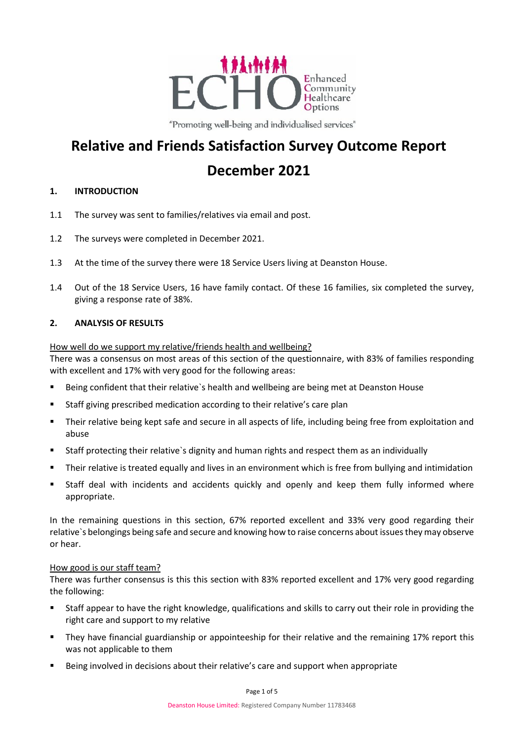

"Promoting well-being and individualised services"

# **Relative and Friends Satisfaction Survey Outcome Report December 2021**

# **1. INTRODUCTION**

- 1.1 The survey was sent to families/relatives via email and post.
- 1.2 The surveys were completed in December 2021.
- 1.3 At the time of the survey there were 18 Service Users living at Deanston House.
- 1.4 Out of the 18 Service Users, 16 have family contact. Of these 16 families, six completed the survey, giving a response rate of 38%.

### **2. ANALYSIS OF RESULTS**

### How well do we support my relative/friends health and wellbeing?

There was a consensus on most areas of this section of the questionnaire, with 83% of families responding with excellent and 17% with very good for the following areas:

- Being confident that their relative`s health and wellbeing are being met at Deanston House
- Staff giving prescribed medication according to their relative's care plan
- Their relative being kept safe and secure in all aspects of life, including being free from exploitation and abuse
- Staff protecting their relative`s dignity and human rights and respect them as an individually
- **F** Their relative is treated equally and lives in an environment which is free from bullying and intimidation
- Staff deal with incidents and accidents quickly and openly and keep them fully informed where appropriate.

In the remaining questions in this section, 67% reported excellent and 33% very good regarding their relative`s belongings being safe and secure and knowing how to raise concerns about issues they may observe or hear.

### How good is our staff team?

There was further consensus is this this section with 83% reported excellent and 17% very good regarding the following:

- Staff appear to have the right knowledge, qualifications and skills to carry out their role in providing the right care and support to my relative
- **They have financial guardianship or appointeeship for their relative and the remaining 17% report this** was not applicable to them
- Being involved in decisions about their relative's care and support when appropriate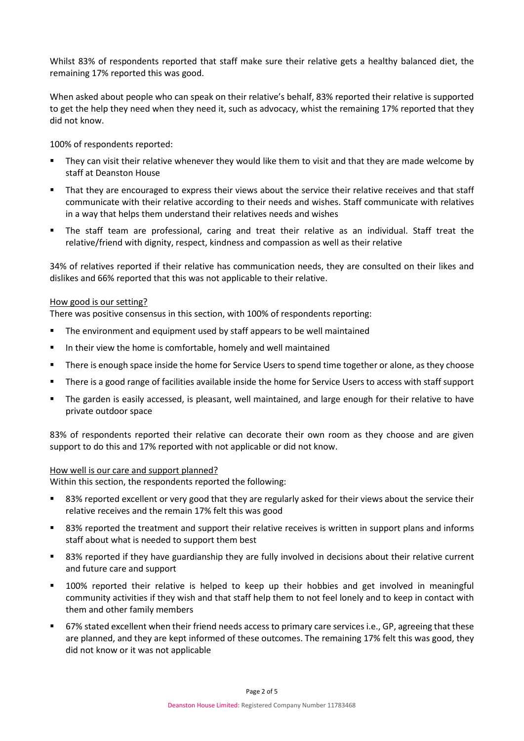Whilst 83% of respondents reported that staff make sure their relative gets a healthy balanced diet, the remaining 17% reported this was good.

When asked about people who can speak on their relative's behalf, 83% reported their relative is supported to get the help they need when they need it, such as advocacy, whist the remaining 17% reported that they did not know.

100% of respondents reported:

- They can visit their relative whenever they would like them to visit and that they are made welcome by staff at Deanston House
- That they are encouraged to express their views about the service their relative receives and that staff communicate with their relative according to their needs and wishes. Staff communicate with relatives in a way that helps them understand their relatives needs and wishes
- The staff team are professional, caring and treat their relative as an individual. Staff treat the relative/friend with dignity, respect, kindness and compassion as well as their relative

34% of relatives reported if their relative has communication needs, they are consulted on their likes and dislikes and 66% reported that this was not applicable to their relative.

#### How good is our setting?

There was positive consensus in this section, with 100% of respondents reporting:

- **The environment and equipment used by staff appears to be well maintained**
- **IF** In their view the home is comfortable, homely and well maintained
- **There is enough space inside the home for Service Users to spend time together or alone, as they choose**
- There is a good range of facilities available inside the home for Service Users to access with staff support
- The garden is easily accessed, is pleasant, well maintained, and large enough for their relative to have private outdoor space

83% of respondents reported their relative can decorate their own room as they choose and are given support to do this and 17% reported with not applicable or did not know.

#### How well is our care and support planned?

Within this section, the respondents reported the following:

- 83% reported excellent or very good that they are regularly asked for their views about the service their relative receives and the remain 17% felt this was good
- 83% reported the treatment and support their relative receives is written in support plans and informs staff about what is needed to support them best
- 83% reported if they have guardianship they are fully involved in decisions about their relative current and future care and support
- 100% reported their relative is helped to keep up their hobbies and get involved in meaningful community activities if they wish and that staff help them to not feel lonely and to keep in contact with them and other family members
- 67% stated excellent when their friend needs access to primary care services i.e., GP, agreeing that these are planned, and they are kept informed of these outcomes. The remaining 17% felt this was good, they did not know or it was not applicable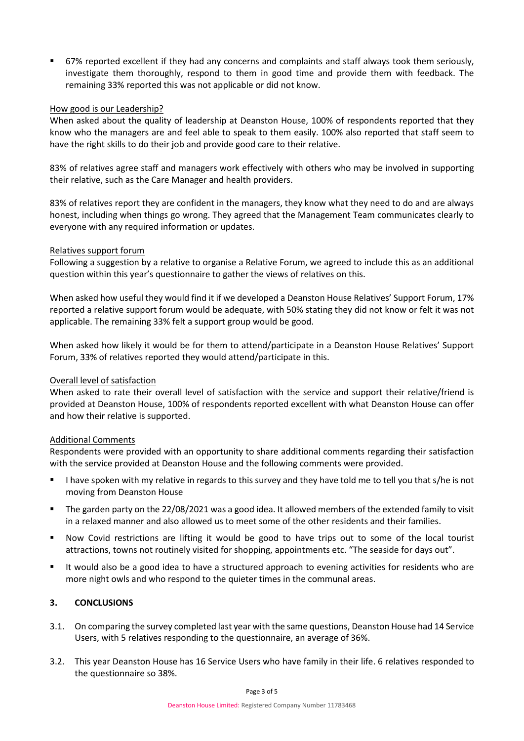67% reported excellent if they had any concerns and complaints and staff always took them seriously, investigate them thoroughly, respond to them in good time and provide them with feedback. The remaining 33% reported this was not applicable or did not know.

### How good is our Leadership?

When asked about the quality of leadership at Deanston House, 100% of respondents reported that they know who the managers are and feel able to speak to them easily. 100% also reported that staff seem to have the right skills to do their job and provide good care to their relative.

83% of relatives agree staff and managers work effectively with others who may be involved in supporting their relative, such as the Care Manager and health providers.

83% of relatives report they are confident in the managers, they know what they need to do and are always honest, including when things go wrong. They agreed that the Management Team communicates clearly to everyone with any required information or updates.

## Relatives support forum

Following a suggestion by a relative to organise a Relative Forum, we agreed to include this as an additional question within this year's questionnaire to gather the views of relatives on this.

When asked how useful they would find it if we developed a Deanston House Relatives' Support Forum, 17% reported a relative support forum would be adequate, with 50% stating they did not know or felt it was not applicable. The remaining 33% felt a support group would be good.

When asked how likely it would be for them to attend/participate in a Deanston House Relatives' Support Forum, 33% of relatives reported they would attend/participate in this.

# Overall level of satisfaction

When asked to rate their overall level of satisfaction with the service and support their relative/friend is provided at Deanston House, 100% of respondents reported excellent with what Deanston House can offer and how their relative is supported.

### Additional Comments

Respondents were provided with an opportunity to share additional comments regarding their satisfaction with the service provided at Deanston House and the following comments were provided.

- I have spoken with my relative in regards to this survey and they have told me to tell you that s/he is not moving from Deanston House
- The garden party on the 22/08/2021 was a good idea. It allowed members of the extended family to visit in a relaxed manner and also allowed us to meet some of the other residents and their families.
- Now Covid restrictions are lifting it would be good to have trips out to some of the local tourist attractions, towns not routinely visited for shopping, appointments etc. "The seaside for days out".
- It would also be a good idea to have a structured approach to evening activities for residents who are more night owls and who respond to the quieter times in the communal areas.

# **3. CONCLUSIONS**

- 3.1. On comparing the survey completed last year with the same questions, Deanston House had 14 Service Users, with 5 relatives responding to the questionnaire, an average of 36%.
- 3.2. This year Deanston House has 16 Service Users who have family in their life. 6 relatives responded to the questionnaire so 38%.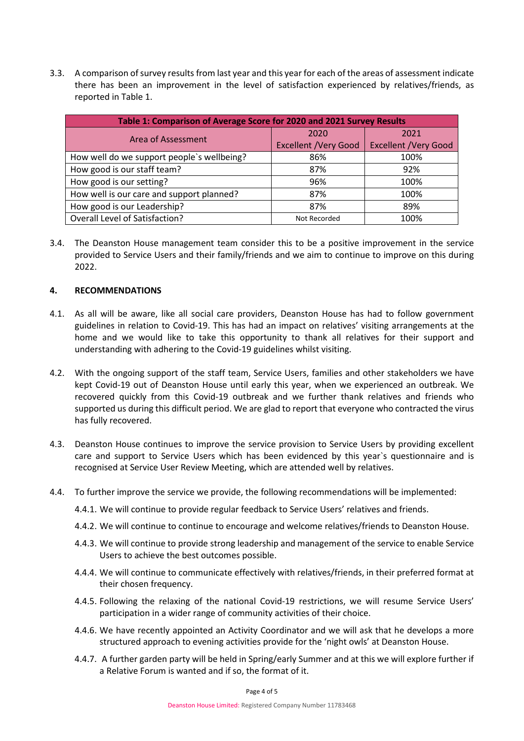3.3. A comparison of survey results from last year and this year for each of the areas of assessment indicate there has been an improvement in the level of satisfaction experienced by relatives/friends, as reported in Table 1.

| Table 1: Comparison of Average Score for 2020 and 2021 Survey Results |                             |                              |
|-----------------------------------------------------------------------|-----------------------------|------------------------------|
| Area of Assessment                                                    | 2020                        | 2021                         |
|                                                                       | <b>Excellent /Very Good</b> | <b>Excellent / Very Good</b> |
| How well do we support people's wellbeing?                            | 86%                         | 100%                         |
| How good is our staff team?                                           | 87%                         | 92%                          |
| How good is our setting?                                              | 96%                         | 100%                         |
| How well is our care and support planned?                             | 87%                         | 100%                         |
| How good is our Leadership?                                           | 87%                         | 89%                          |
| Overall Level of Satisfaction?                                        | Not Recorded                | 100%                         |

3.4. The Deanston House management team consider this to be a positive improvement in the service provided to Service Users and their family/friends and we aim to continue to improve on this during 2022.

### **4. RECOMMENDATIONS**

- 4.1. As all will be aware, like all social care providers, Deanston House has had to follow government guidelines in relation to Covid-19. This has had an impact on relatives' visiting arrangements at the home and we would like to take this opportunity to thank all relatives for their support and understanding with adhering to the Covid-19 guidelines whilst visiting.
- 4.2. With the ongoing support of the staff team, Service Users, families and other stakeholders we have kept Covid-19 out of Deanston House until early this year, when we experienced an outbreak. We recovered quickly from this Covid-19 outbreak and we further thank relatives and friends who supported us during this difficult period. We are glad to report that everyone who contracted the virus has fully recovered.
- 4.3. Deanston House continues to improve the service provision to Service Users by providing excellent care and support to Service Users which has been evidenced by this year`s questionnaire and is recognised at Service User Review Meeting, which are attended well by relatives.
- 4.4. To further improve the service we provide, the following recommendations will be implemented:
	- 4.4.1. We will continue to provide regular feedback to Service Users' relatives and friends.
	- 4.4.2. We will continue to continue to encourage and welcome relatives/friends to Deanston House.
	- 4.4.3. We will continue to provide strong leadership and management of the service to enable Service Users to achieve the best outcomes possible.
	- 4.4.4. We will continue to communicate effectively with relatives/friends, in their preferred format at their chosen frequency.
	- 4.4.5. Following the relaxing of the national Covid-19 restrictions, we will resume Service Users' participation in a wider range of community activities of their choice.
	- 4.4.6. We have recently appointed an Activity Coordinator and we will ask that he develops a more structured approach to evening activities provide for the 'night owls' at Deanston House.
	- 4.4.7. A further garden party will be held in Spring/early Summer and at this we will explore further if a Relative Forum is wanted and if so, the format of it.